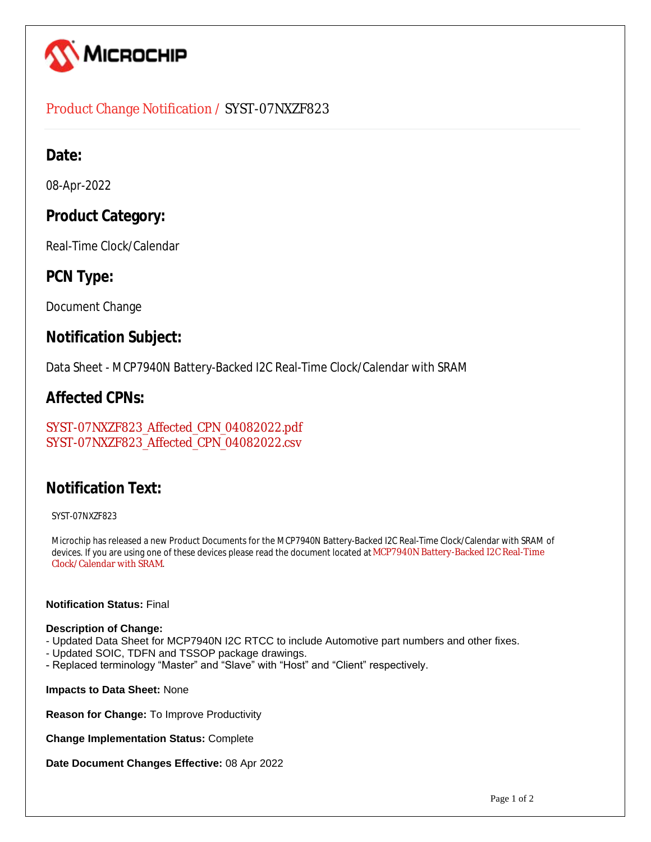

## Product Change Notification / SYST-07NXZF823

## **Date:**

08-Apr-2022

## **Product Category:**

Real-Time Clock/Calendar

## **PCN Type:**

Document Change

## **Notification Subject:**

Data Sheet - MCP7940N Battery-Backed I2C Real-Time Clock/Calendar with SRAM

## **Affected CPNs:**

[SYST-07NXZF823\\_Affected\\_CPN\\_04082022.pdf](https://www.microchip.com/mymicrochipapi/api/pcn/DownloadPcnDocument?pcnId=17712&affectedcpns=pdf) [SYST-07NXZF823\\_Affected\\_CPN\\_04082022.csv](https://www.microchip.com/mymicrochipapi/api/pcn/DownloadPcnDocument?pcnId=17712&affectedcpns=xls)

# **Notification Text:**

SYST-07NXZF823

Microchip has released a new Product Documents for the MCP7940N Battery-Backed I2C Real-Time Clock/Calendar with SRAM of devices. If you are using one of these devices please read the document located at [MCP7940N Battery-Backed I2C Real-Time](https://www.microchip.com/webdata/api/Document/DownloadDocumentsForFileHandlerByContentId?contentId=en553487)  [Clock/Calendar with SRAM](https://www.microchip.com/webdata/api/Document/DownloadDocumentsForFileHandlerByContentId?contentId=en553487).

### **Notification Status:** Final

### **Description of Change:**

- Updated Data Sheet for MCP7940N I2C RTCC to include Automotive part numbers and other fixes.
- Updated SOIC, TDFN and TSSOP package drawings.
- Replaced terminology "Master" and "Slave" with "Host" and "Client" respectively.

**Impacts to Data Sheet:** None

**Reason for Change:** To Improve Productivity

**Change Implementation Status:** Complete

**Date Document Changes Effective:** 08 Apr 2022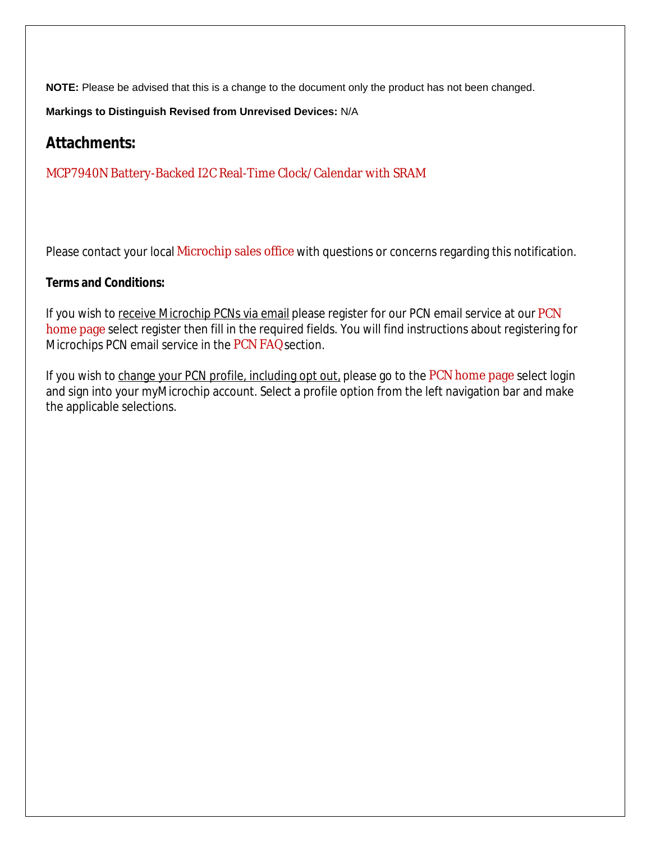**NOTE:** Please be advised that this is a change to the document only the product has not been changed.

**Markings to Distinguish Revised from Unrevised Devices:** N/A

## **Attachments:**

[MCP7940N Battery-Backed I2C Real-Time Clock/Calendar with SRAM](https://www.microchip.com/webdata/api/Document/DownloadDocumentsForFileHandlerByContentId?contentId=en553487)

Please contact your local [Microchip sales office](http://www.microchip.com/distributors/SalesHome.aspx) with questions or concerns regarding this notification.

### **Terms and Conditions:**

If you wish to receive Microchip PCNs via email please register for our [PCN](http://www.microchip.com/pcn) email service at our PCN [home page](http://www.microchip.com/pcn) select register then fill in the required fields. You will find instructions about registering for Microchips PCN email service in the [PCN FAQ](http://www.microchip.com/pcn/faqs) section.

If you wish to change your PCN profile, including opt out, please go to the [PCN home page](http://www.microchip.com/pcn) select login and sign into your myMicrochip account. Select a profile option from the left navigation bar and make the applicable selections.